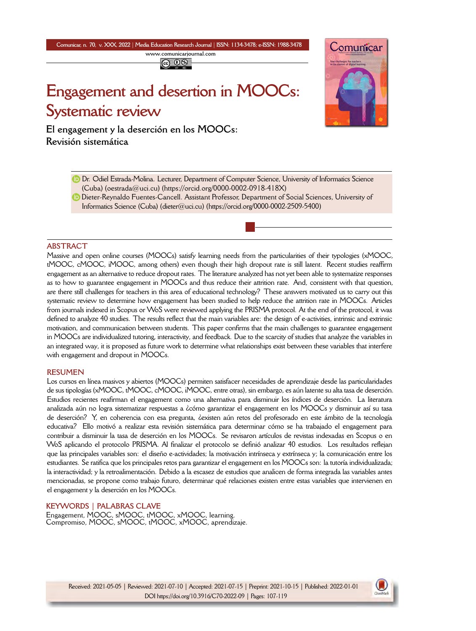**Comunicar, n. 70, v. XXX, 2022** *|* **Media Education Research Journal** *|* **ISSN: 1134-3478; e-ISSN: 1988-3478 <www.comunicarjournal.com>**

# **Engagement and desertion in MOOCs: Systematic review**

**El engagement y la deserción en los MOOCs: Revisión sistemática**



Dieter-Reynaldo Fuentes-Cancell. Assistant Professor, Department of Social Sciences, University of Informatics Science (Cuba) [\(dieter@uci.cu](mailto:dieter@uci.cu)) [\(https://orcid.org/0000-0002-2509-5400\)](https://orcid.org/0000-0002-2509-5400)

#### **ABSTRACT**

Massive and open online courses (MOOCs) satisfy learning needs from the particularities of their typologies (xMOOC, tMOOC, cMOOC, iMOOC, among others) even though their high dropout rate is still latent. Recent studies reaffirm engagement as an alternative to reduce dropout rates. The literature analyzed has not yet been able to systematize responses as to how to guarantee engagement in MOOCs and thus reduce their attrition rate. And, consistent with that question, are there still challenges for teachers in this area of educational technology? These answers motivated us to carry out this systematic review to determine how engagement has been studied to help reduce the attrition rate in MOOCs. Articles from journals indexed in Scopus or WoS were reviewed applying the PRISMA protocol. At the end of the protocol, it was defined to analyze 40 studies. The results reflect that the main variables are: the design of e-activities, intrinsic and extrinsic motivation, and communication between students. This paper confirms that the main challenges to guarantee engagement in MOOCs are individualized tutoring, interactivity, and feedback. Due to the scarcity of studies that analyze the variables in an integrated way, it is proposed as future work to determine what relationships exist between these variables that interfere with engagement and dropout in MOOCs.

## **RESUMEN**

Los cursos en línea masivos y abiertos (MOOCs) permiten satisfacer necesidades de aprendizaje desde las particularidades de sus tipologías (xMOOC, tMOOC, cMOOC, iMOOC, entre otras), sin embargo, es aún latente su alta tasa de deserción. Estudios recientes reafirman el engagement como una alternativa para disminuir los índices de deserción. La literatura analizada aún no logra sistematizar respuestas a ¿cómo garantizar el engagement en los MOOCs y disminuir así su tasa de deserción? Y, en coherencia con esa pregunta, ¿existen aún retos del profesorado en este ámbito de la tecnología educativa? Ello motivó a realizar esta revisión sistemática para determinar cómo se ha trabajado el engagement para contribuir a disminuir la tasa de deserción en los MOOCs. Se revisaron artículos de revistas indexadas en Scopus o en WoS aplicando el protocolo PRISMA. Al finalizar el protocolo se definió analizar 40 estudios. Los resultados reflejan que las principales variables son: el diseño e-actividades; la motivación intrínseca y extrínseca y; la comunicación entre los estudiantes. Se ratifica que los principales retos para garantizar el engagement en los MOOCs son: la tutoría individualizada; la interactividad; y la retroalimentación. Debido a la escasez de estudios que analicen de forma integrada las variables antes mencionadas, se propone como trabajo futuro, determinar qué relaciones existen entre estas variables que intervienen en el engagement y la deserción en los MOOCs.

#### **KEYWORDS | PALABRAS CLAVE**

Engagement, MOOC, sMOOC, tMOOC, xMOOC, learning. Compromiso, MOOC, sMOOC, tMOOC, xMOOC, aprendizaje.



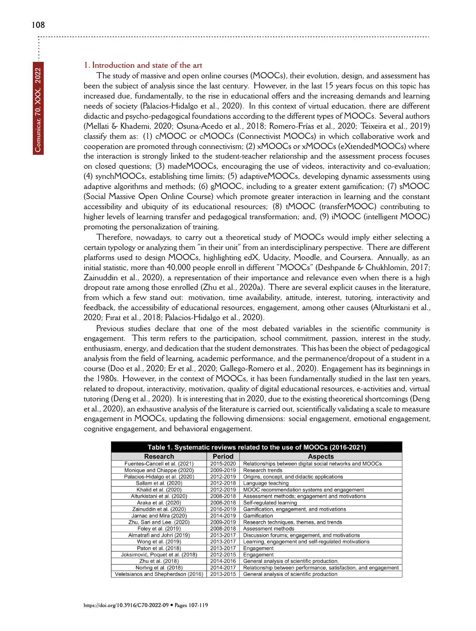## **1. Introduction and state of the art**

The study of massive and open online courses (MOOCs), their evolution, design, and assessment has been the subject of analysis since the last century. However, in the last 15 years focus on this topic has increased due, fundamentally, to the rise in educational offers and the increasing demands and learning needs of society (Palacios-Hidalgo et al., 2020). In this context of virtual education, there are different didactic and psycho-pedagogical foundations according to the different types of MOOCs. Several authors (Mellati & Khademi, 2020; Osuna-Acedo et al., 2018; Romero-Frías et al., 2020; Teixeira et al., 2019) classify them as: (1) cMOOC or cMOOCs (Connectivist MOOCs) in which collaborative work and cooperation are promoted through connectivism; (2) xMOOCs or xMOOCs (eXtendedMOOCs) where the interaction is strongly linked to the student-teacher relationship and the assessment process focuses on closed questions; (3) madeMOOCs, encouraging the use of videos, interactivity and co-evaluation; (4) synchMOOCs, establishing time limits; (5) adaptiveMOOCs, developing dynamic assessments using adaptive algorithms and methods; (6) gMOOC, including to a greater extent gamification; (7) sMOOC (Social Massive Open Online Course) which promote greater interaction in learning and the constant accessibility and ubiquity of its educational resources; (8) tMOOC (transferMOOC) contributing to higher levels of learning transfer and pedagogical transformation; and, (9) iMOOC (intelligent MOOC) promoting the personalization of training.

Therefore, nowadays, to carry out a theoretical study of MOOCs would imply either selecting a certain typology or analyzing them "in their unit" from an interdisciplinary perspective. There are different platforms used to design MOOCs, highlighting edX, Udacity, Moodle, and Coursera. Annually, as an initial statistic, more than 40,000 people enroll in different "MOOCs" (Deshpande & Chukhlomin, 2017; Zainuddin et al., 2020), a representation of their importance and relevance even when there is a high dropout rate among those enrolled (Zhu et al., 2020a). There are several explicit causes in the literature, from which a few stand out: motivation, time availability, attitude, interest, tutoring, interactivity and feedback, the accessibility of educational resources, engagement, among other causes (Alturkistani et al., 2020; Fırat et al., 2018; Palacios-Hidalgo et al., 2020).

Previous studies declare that one of the most debated variables in the scientific community is engagement. This term refers to the participation, school commitment, passion, interest in the study, enthusiasm, energy, and dedication that the student demonstrates. This has been the object of pedagogical analysis from the field of learning, academic performance, and the permanence/dropout of a student in a course (Doo et al., 2020; Er et al., 2020; Gallego-Romero et al., 2020). Engagement has its beginnings in the 1980s. However, in the context of MOOCs, it has been fundamentally studied in the last ten years, related to dropout, interactivity, motivation, quality of digital educational resources, e-activities and, virtual tutoring (Deng et al., 2020). It is interesting that in 2020, due to the existing theoretical shortcomings (Deng et al., 2020), an exhaustive analysis of the literature is carried out, scientifically validating a scale to measure engagement in MOOCs, updating the following dimensions: social engagement, emotional engagement, cognitive engagement, and behavioral engagement.

| Table 1. Systematic reviews related to the use of MOOCs (2016-2021) |           |                                                                |  |  |  |
|---------------------------------------------------------------------|-----------|----------------------------------------------------------------|--|--|--|
| Research                                                            | Period    | <b>Aspects</b>                                                 |  |  |  |
| Fuentes-Cancell et al. (2021)                                       | 2015-2020 | Relationships between digital social networks and MOOCs        |  |  |  |
| Monique and Chiappe (2020)                                          | 2009-2019 | Research trends                                                |  |  |  |
| Palacios-Hidalgo et al. (2020)                                      | 2012-2019 | Origins, concept, and didactic applications                    |  |  |  |
| Sallam et al. (2020)                                                | 2012-2018 | Language teaching                                              |  |  |  |
| Khalid et al. (2020)                                                | 2012-2019 | MOOC recommendation systems and engagement                     |  |  |  |
| Alturkistani et al. (2020)                                          | 2008-2018 | Assessment methods; engagement and motivations                 |  |  |  |
| Araka et al. (2020)                                                 | 2008-2018 | Self-regulated learning                                        |  |  |  |
| Zainuddin et al. (2020)                                             | 2016-2019 | Gamification, engagement, and motivations                      |  |  |  |
| Jarnac and Mira (2020)                                              | 2014-2019 | Gamification                                                   |  |  |  |
| Zhu, Sari and Lee. (2020)                                           | 2009-2019 | Research techniques, themes, and trends                        |  |  |  |
| Foley et al. (2019)                                                 | 2008-2018 | Assessment methods                                             |  |  |  |
| Almatrafi and Johri (2019)                                          | 2013-2017 | Discussion forums; engagement, and motivations                 |  |  |  |
| Wong et al. (2019)                                                  | 2013-2017 | Learning, engagement and self-regulated motivations            |  |  |  |
| Paton et al. (2018)                                                 | 2013-2017 | Engagement                                                     |  |  |  |
| Joksimović, Poquet et al. (2018)                                    | 2012-2015 | Engagement                                                     |  |  |  |
| Zhu et al. (2018)                                                   | 2014-2016 | General analysis of scientific production.                     |  |  |  |
| Nortvig et al. (2018)                                               | 2014-2017 | Relationship between performance, satisfaction, and engagement |  |  |  |
| Veletsianos and Shepherdson (2016)                                  | 2013-2015 | General analysis of scientific production                      |  |  |  |

÷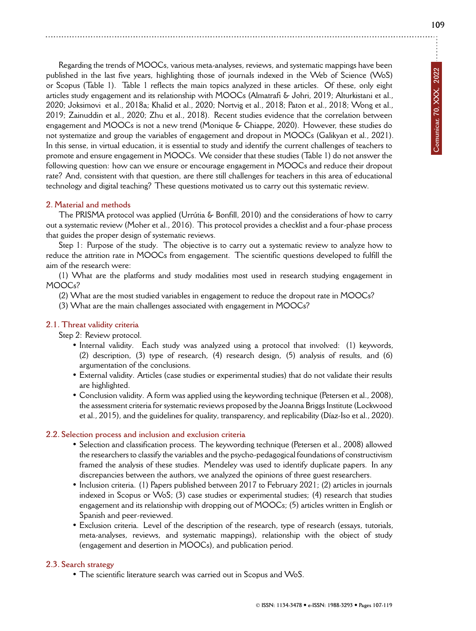Regarding the trends of MOOCs, various meta-analyses, reviews, and systematic mappings have been published in the last five years, highlighting those of journals indexed in the Web of Science (WoS) or Scopus (Table 1). Table 1 reflects the main topics analyzed in these articles. Of these, only eight articles study engagement and its relationship with MOOCs (Almatrafi & Johri, 2019; Alturkistani et al., 2020; Joksimovi et al., 2018a; Khalid et al., 2020; Nortvig et al., 2018; Paton et al., 2018; Wong et al., 2019; Zainuddin et al., 2020; Zhu et al., 2018). Recent studies evidence that the correlation between engagement and MOOCs is not a new trend (Monique & Chiappe, 2020). However, these studies do not systematize and group the variables of engagement and dropout in MOOCs (Galikyan et al., 2021). In this sense, in virtual education, it is essential to study and identify the current challenges of teachers to promote and ensure engagement in MOOCs. We consider that these studies (Table 1) do not answer the following question: how can we ensure or encourage engagement in MOOCs and reduce their dropout rate? And, consistent with that question, are there still challenges for teachers in this area of educational technology and digital teaching? These questions motivated us to carry out this systematic review.

## **2. Material and methods**

The PRISMA protocol was applied (Urrútia & Bonfill, 2010) and the considerations of how to carry out a systematic review (Moher et al., 2016). This protocol provides a checklist and a four-phase process that guides the proper design of systematic reviews.

Step 1: Purpose of the study. The objective is to carry out a systematic review to analyze how to reduce the attrition rate in MOOCs from engagement. The scientific questions developed to fulfill the aim of the research were:

(1) What are the platforms and study modalities most used in research studying engagement in MOOCs?

(2) What are the most studied variables in engagement to reduce the dropout rate in MOOCs?

(3) What are the main challenges associated with engagement in MOOCs?

## **2.1. Threat validity criteria**

Step 2: Review protocol.

- Internal validity. Each study was analyzed using a protocol that involved: (1) keywords, (2) description, (3) type of research, (4) research design, (5) analysis of results, and (6) argumentation of the conclusions.
- External validity. Articles (case studies or experimental studies) that do not validate their results are highlighted.
- Conclusion validity. A form was applied using the keywording technique (Petersen et al., 2008), the assessment criteria for systematic reviews proposed by the Joanna Briggs Institute (Lockwood et al., 2015), and the guidelines for quality, transparency, and replicability (Díaz-Iso et al., 2020).

## **2.2. Selection process and inclusion and exclusion criteria**

- Selection and classification process. The keywording technique (Petersen et al., 2008) allowed the researchers to classify the variables and the psycho-pedagogical foundations of constructivism framed the analysis of these studies. Mendeley was used to identify duplicate papers. In any discrepancies between the authors, we analyzed the opinions of three guest researchers.
- Inclusion criteria. (1) Papers published between 2017 to February 2021; (2) articles in journals indexed in Scopus or WoS; (3) case studies or experimental studies; (4) research that studies engagement and its relationship with dropping out of MOOCs; (5) articles written in English or Spanish and peer-reviewed.
- Exclusion criteria. Level of the description of the research, type of research (essays, tutorials, meta-analyses, reviews, and systematic mappings), relationship with the object of study (engagement and desertion in MOOCs), and publication period.

## **2.3. Search strategy**

• The scientific literature search was carried out in Scopus and WoS.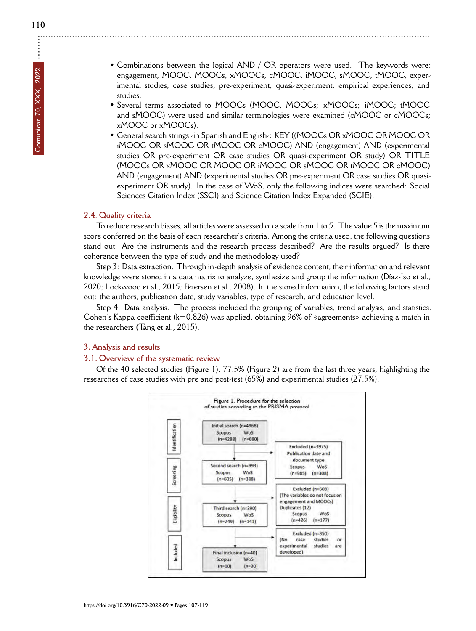- Combinations between the logical AND / OR operators were used. The keywords were: engagement, MOOC, MOOCs, xMOOCs, cMOOC, iMOOC, sMOOC, tMOOC, experimental studies, case studies, pre-experiment, quasi-experiment, empirical experiences, and studies.
- Several terms associated to MOOCs (MOOC, MOOCs; xMOOCs; iMOOC; tMOOC and sMOOC) were used and similar terminologies were examined (cMOOC or cMOOCs; xMOOC or xMOOCs).
- General search strings -in Spanish and English-: KEY ((MOOCs OR xMOOC OR MOOC OR iMOOC OR sMOOC OR tMOOC OR cMOOC) AND (engagement) AND (experimental studies OR pre-experiment OR case studies OR quasi-experiment OR study) OR TITLE (MOOCs OR xMOOC OR MOOC OR iMOOC OR sMOOC OR tMOOC OR cMOOC) AND (engagement) AND (experimental studies OR pre-experiment OR case studies OR quasiexperiment OR study). In the case of WoS, only the following indices were searched: Social Sciences Citation Index (SSCI) and Science Citation Index Expanded (SCIE).

## **2.4. Quality criteria**

To reduce research biases, all articles were assessed on a scale from 1 to 5. The value 5 is the maximum score conferred on the basis of each researcher's criteria. Among the criteria used, the following questions stand out: Are the instruments and the research process described? Are the results argued? Is there coherence between the type of study and the methodology used?

Step 3: Data extraction. Through in-depth analysis of evidence content, their information and relevant knowledge were stored in a data matrix to analyze, synthesize and group the information (Díaz-Iso et al., 2020; Lockwood et al., 2015; Petersen et al., 2008). In the stored information, the following factors stand out: the authors, publication date, study variables, type of research, and education level.

Step 4: Data analysis. The process included the grouping of variables, trend analysis, and statistics. Cohen's Kappa coefficient (k=0.826) was applied, obtaining 96% of «agreements» achieving a match in the researchers (Tang et al., 2015).

## **3. Analysis and results**

## **3.1. Overview of the systematic review**

Of the 40 selected studies (Figure 1), 77.5% (Figure 2) are from the last three years, highlighting the researches of case studies with pre and post-test (65%) and experimental studies (27.5%).

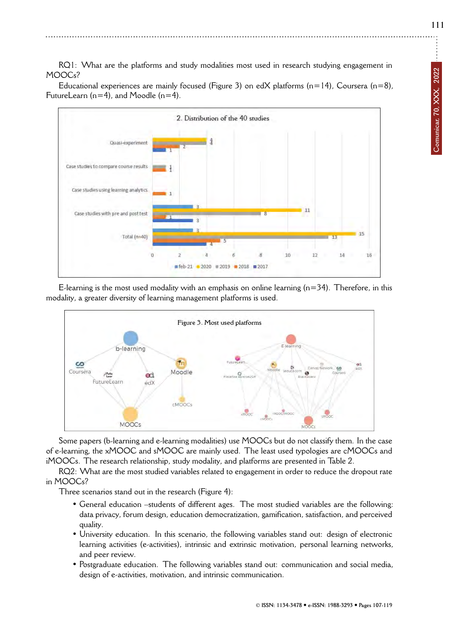**111**

RQ1: What are the platforms and study modalities most used in research studying engagement in MOOCs?

Educational experiences are mainly focused (Figure 3) on edX platforms ( $n=14$ ), Coursera ( $n=8$ ), FutureLearn ( $n=4$ ), and Moodle ( $n=4$ ).



E-learning is the most used modality with an emphasis on online learning  $(n=34)$ . Therefore, in this modality, a greater diversity of learning management platforms is used.



Some papers (b-learning and e-learning modalities) use MOOCs but do not classify them. In the case of e-learning, the xMOOC and sMOOC are mainly used. The least used typologies are cMOOCs and iMOOCs. The research relationship, study modality, and platforms are presented in Table 2.

RQ2: What are the most studied variables related to engagement in order to reduce the dropout rate in MOOCs?

Three scenarios stand out in the research (Figure 4):

- General education –students of different ages. The most studied variables are the following: data privacy, forum design, education democratization, gamification, satisfaction, and perceived quality.
- University education. In this scenario, the following variables stand out: design of electronic learning activities (e-activities), intrinsic and extrinsic motivation, personal learning networks, and peer review.
- Postgraduate education. The following variables stand out: communication and social media, design of e-activities, motivation, and intrinsic communication.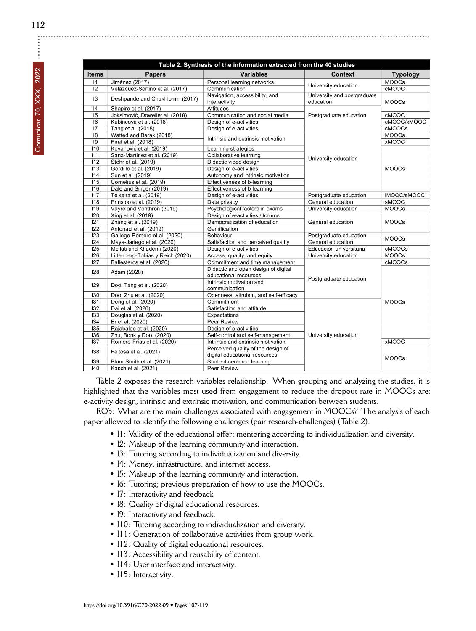| 2022                |  |
|---------------------|--|
|                     |  |
| Comunicar, 70, XXX, |  |

|                              | Table 2. Synthesis of the information extracted from the 40 studies |                                                              |                                          |                 |  |  |  |
|------------------------------|---------------------------------------------------------------------|--------------------------------------------------------------|------------------------------------------|-----------------|--|--|--|
| <b>Items</b>                 | <b>Papers</b>                                                       | <b>Variables</b>                                             | Context                                  | <b>Typology</b> |  |  |  |
| 11                           | Jiménez (2017)                                                      | Personal learning networks                                   | University education                     | <b>MOOCs</b>    |  |  |  |
| $\overline{12}$              | Velázquez-Sortino et al. (2017)                                     | Communication                                                |                                          | <b>CMOOC</b>    |  |  |  |
| 13                           | Deshpande and Chukhlomin (2017)                                     | Navigation, accessibility, and<br>interactivity              | University and postgraduate<br>education | <b>MOOCs</b>    |  |  |  |
| 4                            | Shapiro et al. (2017)                                               | Attitudes                                                    | Postgraduate education                   |                 |  |  |  |
| 15                           | Joksimović, Dowellet al. (2018)                                     | Communication and social media                               |                                          | cMOOC           |  |  |  |
| 16                           | Kubincova et al. (2018)                                             | Design of e-activities                                       |                                          | cMOOC/xMOOC     |  |  |  |
| 17                           | Tang et al. (2018)                                                  | Design of e-activities                                       | University education                     | cMOOCs          |  |  |  |
| $\overline{18}$              | Watted and Barak (2018)                                             |                                                              |                                          | <b>MOOCs</b>    |  |  |  |
| 9                            | Firat et al. (2018)                                                 | Intrinsic and extrinsic motivation                           |                                          | <b>xMOOC</b>    |  |  |  |
| 110                          | Kovanović et al. (2019)                                             | Learning strategies                                          |                                          | <b>MOOCs</b>    |  |  |  |
| 111                          | Sanz-Martínez et al. (2019)                                         | Collaborative learning                                       |                                          |                 |  |  |  |
| 112                          | Stöhr et al. (2019)                                                 | Didactic video design                                        |                                          |                 |  |  |  |
| 113                          | Gordillo et al. (2019)                                              | Design of e-activities                                       |                                          |                 |  |  |  |
| 114                          | Sun et al. (2019)                                                   | Autonomy and intrinsic motivation                            |                                          |                 |  |  |  |
| 115                          | Cornelius et al. (2019)                                             | Effectiveness of b-learning                                  |                                          |                 |  |  |  |
| 116                          | Dale and Singer (2019)                                              | Effectiveness of b-learning                                  |                                          |                 |  |  |  |
| 117                          | Teixeira et al. (2019)                                              | Design of e-activities                                       | Postgraduate education                   | iMOOC/sMOOC     |  |  |  |
| 118                          | Prinsloo et al. (2019)                                              | Data privacy                                                 | General education                        | <b>SMOOC</b>    |  |  |  |
| 119                          | Vayre and Vonthron (2019)                                           | Psychological factors in exams                               | University education                     | <b>MOOCs</b>    |  |  |  |
| 120                          | Xing et al. (2019)                                                  | Design of e-activities / forums                              |                                          | <b>MOOCs</b>    |  |  |  |
| 121                          | Zhang et al. (2019)                                                 | Democratization of education                                 | General education                        |                 |  |  |  |
| 122                          | Antonaci et al. (2019)                                              | Gamification                                                 |                                          |                 |  |  |  |
| 123                          | Gallego-Romero et al. (2020)                                        | Behaviour                                                    | Postgraduate education                   | <b>MOOCs</b>    |  |  |  |
| 124                          | Maya-Jariego et al. (2020)                                          | Satisfaction and perceived quality                           | General education                        |                 |  |  |  |
| 125                          | Mellati and Khademi (2020)                                          | Design of e-activities                                       | Educación universitaria                  | cMOOCs          |  |  |  |
| 126                          | Littenberg-Tobias y Reich (2020)                                    | Access, quality, and equity                                  | University education                     | <b>MOOCs</b>    |  |  |  |
| $\overline{127}$             | Ballesteros et al. (2020)                                           | Commitment and time management                               |                                          | cMOOCs          |  |  |  |
| 128                          | Adam (2020)                                                         | Didactic and open design of digital<br>educational resources |                                          |                 |  |  |  |
| 129                          | Doo, Tang et al. (2020)                                             | Intrinsic motivation and<br>communication                    | Postgraduate education                   |                 |  |  |  |
| 130                          | Doo, Zhu et al. (2020)                                              | Openness, altruism, and self-efficacy                        |                                          |                 |  |  |  |
| 131                          | Deng et al. (2020)                                                  | Commitment                                                   |                                          | <b>MOOCs</b>    |  |  |  |
| 132                          | Dai et al. (2020)                                                   | Satisfaction and attitude                                    |                                          |                 |  |  |  |
| 133                          | Douglas et al. (2020)                                               | Expectations                                                 |                                          |                 |  |  |  |
| 134                          | Er et al. (2020)                                                    | Peer Review                                                  | University education                     |                 |  |  |  |
| 135                          | Rajabalee et al. (2020)                                             | Design of e-activities                                       |                                          |                 |  |  |  |
| 136                          | Zhu, Bonk y Doo. (2020)                                             | Self-control and self-management                             |                                          |                 |  |  |  |
| 137                          | Romero-Frías et al. (2020)                                          | Intrinsic and extrinsic motivation                           |                                          | <b>xMOOC</b>    |  |  |  |
| 138<br>Feitosa et al. (2021) |                                                                     | Perceived quality of the design of                           |                                          |                 |  |  |  |
|                              |                                                                     | digital educational resources.                               |                                          |                 |  |  |  |
| 139                          | Blum-Smith et al. (2021)                                            | Student-centered learning                                    |                                          | <b>MOOCs</b>    |  |  |  |
| 140                          | Kasch et al. (2021)                                                 | Peer Review                                                  |                                          |                 |  |  |  |

Table 2 exposes the research-variables relationship. When grouping and analyzing the studies, it is highlighted that the variables most used from engagement to reduce the dropout rate in MOOCs are: e-activity design, intrinsic and extrinsic motivation, and communication between students.

RQ3: What are the main challenges associated with engagement in MOOCs? The analysis of each paper allowed to identify the following challenges (pair research-challenges) (Table 2).

- I1: Validity of the educational offer; mentoring according to individualization and diversity.
- I2: Makeup of the learning community and interaction.
- I3: Tutoring according to individualization and diversity.
- I4: Money, infrastructure, and internet access.
- I5: Makeup of the learning community and interaction.
- I6: Tutoring; previous preparation of how to use the MOOCs.
- I7: Interactivity and feedback
- I8: Quality of digital educational resources.
- I9: Interactivity and feedback.
- I10: Tutoring according to individualization and diversity.
- I11: Generation of collaborative activities from group work.
- I12: Quality of digital educational resources.
- I13: Accessibility and reusability of content.
- I14: User interface and interactivity.
- I15: Interactivity.

 $\vdots$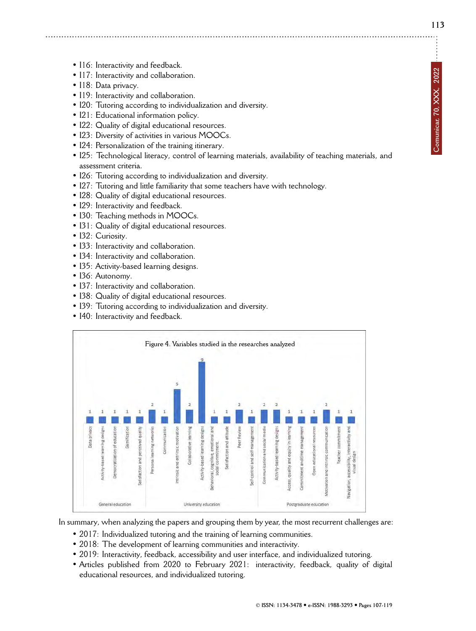**Comunicar, 70, XXX, 2022**

Comunicar, 70, XXX, 2022

- I16: Interactivity and feedback.
- I17: Interactivity and collaboration.
- I18: Data privacy.
- I19: Interactivity and collaboration.
- I20: Tutoring according to individualization and diversity.
- I21: Educational information policy.
- I22: Quality of digital educational resources.
- I23: Diversity of activities in various MOOCs.
- 124: Personalization of the training itinerary.
- I25: Technological literacy, control of learning materials, availability of teaching materials, and assessment criteria.
- I26: Tutoring according to individualization and diversity.
- I27: Tutoring and little familiarity that some teachers have with technology.
- I28: Quality of digital educational resources.
- I29: Interactivity and feedback.
- I30: Teaching methods in MOOCs.
- I31: Quality of digital educational resources.
- I32: Curiosity.
- I33: Interactivity and collaboration.
- I34: Interactivity and collaboration.
- I35: Activity-based learning designs.
- I36: Autonomy.
- I37: Interactivity and collaboration.
- I38: Quality of digital educational resources.
- I39: Tutoring according to individualization and diversity.
- I40: Interactivity and feedback.



In summary, when analyzing the papers and grouping them by year, the most recurrent challenges are:

- 2017: Individualized tutoring and the training of learning communities.
- 2018: The development of learning communities and interactivity.
- 2019: Interactivity, feedback, accessibility and user interface, and individualized tutoring.
- Articles published from 2020 to February 2021: interactivity, feedback, quality of digital educational resources, and individualized tutoring.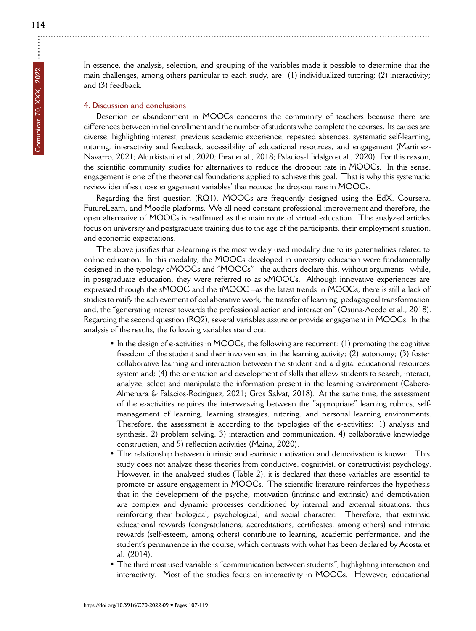÷

In essence, the analysis, selection, and grouping of the variables made it possible to determine that the main challenges, among others particular to each study, are: (1) individualized tutoring; (2) interactivity; and (3) feedback.

## **4. Discussion and conclusions**

Desertion or abandonment in MOOCs concerns the community of teachers because there are differences between initial enrollment and the number of students who complete the courses. Its causes are diverse, highlighting interest, previous academic experience, repeated absences, systematic self-learning, tutoring, interactivity and feedback, accessibility of educational resources, and engagement (Martinez-Navarro, 2021; Alturkistani et al., 2020; Fırat et al., 2018; Palacios-Hidalgo et al., 2020). For this reason, the scientific community studies for alternatives to reduce the dropout rate in MOOCs. In this sense, engagement is one of the theoretical foundations applied to achieve this goal. That is why this systematic review identifies those engagement variables' that reduce the dropout rate in MOOCs.

Regarding the first question (RQ1), MOOCs are frequently designed using the EdX, Coursera, FutureLearn, and Moodle platforms. We all need constant professional improvement and therefore, the open alternative of MOOCs is reaffirmed as the main route of virtual education. The analyzed articles focus on university and postgraduate training due to the age of the participants, their employment situation, and economic expectations.

The above justifies that e-learning is the most widely used modality due to its potentialities related to online education. In this modality, the MOOCs developed in university education were fundamentally designed in the typology cMOOCs and "MOOCs" –the authors declare this, without arguments– while, in postgraduate education, they were referred to as xMOOCs. Although innovative experiences are expressed through the sMOOC and the tMOOC –as the latest trends in MOOCs, there is still a lack of studies to ratify the achievement of collaborative work, the transfer of learning, pedagogical transformation and, the "generating interest towards the professional action and interaction" (Osuna-Acedo et al., 2018). Regarding the second question (RQ2), several variables assure or provide engagement in MOOCs. In the analysis of the results, the following variables stand out:

- In the design of e-activities in MOOCs, the following are recurrent: (1) promoting the cognitive freedom of the student and their involvement in the learning activity; (2) autonomy; (3) foster collaborative learning and interaction between the student and a digital educational resources system and; (4) the orientation and development of skills that allow students to search, interact, analyze, select and manipulate the information present in the learning environment (Cabero-Almenara & Palacios-Rodríguez, 2021; Gros Salvat, 2018). At the same time, the assessment of the e-activities requires the interweaving between the "appropriate" learning rubrics, selfmanagement of learning, learning strategies, tutoring, and personal learning environments. Therefore, the assessment is according to the typologies of the e-activities: 1) analysis and synthesis, 2) problem solving, 3) interaction and communication, 4) collaborative knowledge construction, and 5) reflection activities (Maina, 2020).
- The relationship between intrinsic and extrinsic motivation and demotivation is known. This study does not analyze these theories from conductive, cognitivist, or constructivist psychology. However, in the analyzed studies (Table 2), it is declared that these variables are essential to promote or assure engagement in MOOCs. The scientific literature reinforces the hypothesis that in the development of the psyche, motivation (intrinsic and extrinsic) and demotivation are complex and dynamic processes conditioned by internal and external situations, thus reinforcing their biological, psychological, and social character. Therefore, that extrinsic educational rewards (congratulations, accreditations, certificates, among others) and intrinsic rewards (self-esteem, among others) contribute to learning, academic performance, and the student's permanence in the course, which contrasts with what has been declared by Acosta et al. (2014).
- The third most used variable is "communication between students", highlighting interaction and interactivity. Most of the studies focus on interactivity in MOOCs. However, educational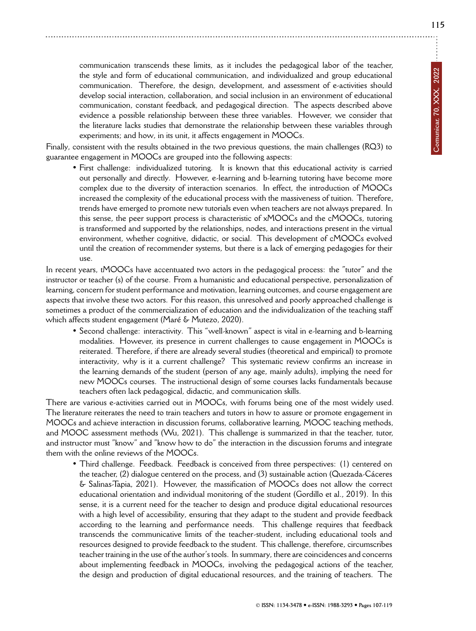communication transcends these limits, as it includes the pedagogical labor of the teacher, the style and form of educational communication, and individualized and group educational communication. Therefore, the design, development, and assessment of e-activities should develop social interaction, collaboration, and social inclusion in an environment of educational communication, constant feedback, and pedagogical direction. The aspects described above evidence a possible relationship between these three variables. However, we consider that the literature lacks studies that demonstrate the relationship between these variables through experiments; and how, in its unit, it affects engagement in MOOCs.

Finally, consistent with the results obtained in the two previous questions, the main challenges (RQ3) to guarantee engagement in MOOCs are grouped into the following aspects:

• First challenge: individualized tutoring. It is known that this educational activity is carried out personally and directly. However, e-learning and b-learning tutoring have become more complex due to the diversity of interaction scenarios. In effect, the introduction of MOOCs increased the complexity of the educational process with the massiveness of tuition. Therefore, trends have emerged to promote new tutorials even when teachers are not always prepared. In this sense, the peer support process is characteristic of xMOOCs and the cMOOCs, tutoring is transformed and supported by the relationships, nodes, and interactions present in the virtual environment, whether cognitive, didactic, or social. This development of cMOOCs evolved until the creation of recommender systems, but there is a lack of emerging pedagogies for their use.

In recent years, tMOOCs have accentuated two actors in the pedagogical process: the "tutor" and the instructor or teacher (s) of the course. From a humanistic and educational perspective, personalization of learning, concern for student performance and motivation, learning outcomes, and course engagement are aspects that involve these two actors. For this reason, this unresolved and poorly approached challenge is sometimes a product of the commercialization of education and the individualization of the teaching staff which affects student engagement (Maré & Mutezo, 2020).

• Second challenge: interactivity. This "well-known" aspect is vital in e-learning and b-learning modalities. However, its presence in current challenges to cause engagement in MOOCs is reiterated. Therefore, if there are already several studies (theoretical and empirical) to promote interactivity, why is it a current challenge? This systematic review confirms an increase in the learning demands of the student (person of any age, mainly adults), implying the need for new MOOCs courses. The instructional design of some courses lacks fundamentals because teachers often lack pedagogical, didactic, and communication skills.

There are various e-activities carried out in MOOCs, with forums being one of the most widely used. The literature reiterates the need to train teachers and tutors in how to assure or promote engagement in MOOCs and achieve interaction in discussion forums, collaborative learning, MOOC teaching methods, and MOOC assessment methods (Wu, 2021). This challenge is summarized in that the teacher, tutor, and instructor must "know" and "know how to do" the interaction in the discussion forums and integrate them with the online reviews of the MOOCs.

• Third challenge. Feedback. Feedback is conceived from three perspectives: (1) centered on the teacher, (2) dialogue centered on the process, and (3) sustainable action (Quezada-Cáceres & Salinas-Tapia, 2021). However, the massification of MOOCs does not allow the correct educational orientation and individual monitoring of the student (Gordillo et al., 2019). In this sense, it is a current need for the teacher to design and produce digital educational resources with a high level of accessibility, ensuring that they adapt to the student and provide feedback according to the learning and performance needs. This challenge requires that feedback transcends the communicative limits of the teacher-student, including educational tools and resources designed to provide feedback to the student. This challenge, therefore, circumscribes teacher training in the use of the author's tools. In summary, there are coincidences and concerns about implementing feedback in MOOCs, involving the pedagogical actions of the teacher, the design and production of digital educational resources, and the training of teachers. The **115**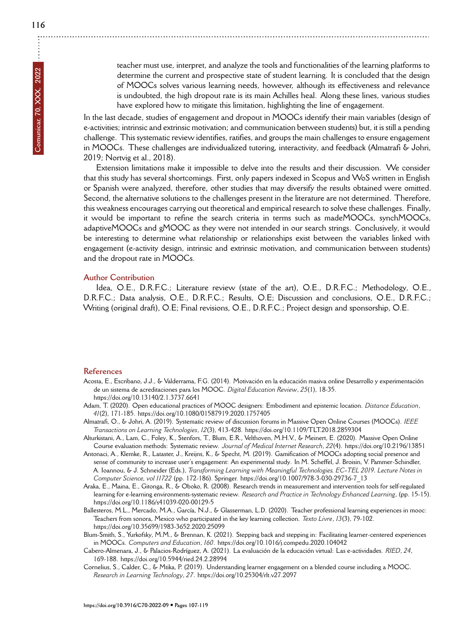teacher must use, interpret, and analyze the tools and functionalities of the learning platforms to determine the current and prospective state of student learning. It is concluded that the design of MOOCs solves various learning needs, however, although its effectiveness and relevance is undoubted, the high dropout rate is its main Achilles heal. Along these lines, various studies have explored how to mitigate this limitation, highlighting the line of engagement.

In the last decade, studies of engagement and dropout in MOOCs identify their main variables (design of e-activities; intrinsic and extrinsic motivation; and communication between students) but, it is still a pending challenge. This systematic review identifies, ratifies, and groups the main challenges to ensure engagement in MOOCs. These challenges are individualized tutoring, interactivity, and feedback (Almatrafi & Johri, 2019; Nortvig et al., 2018).

Extension limitations make it impossible to delve into the results and their discussion. We consider that this study has several shortcomings. First, only papers indexed in Scopus and WoS written in English or Spanish were analyzed, therefore, other studies that may diversify the results obtained were omitted. Second, the alternative solutions to the challenges present in the literature are not determined. Therefore, this weakness encourages carrying out theoretical and empirical research to solve these challenges. Finally, it would be important to refine the search criteria in terms such as madeMOOCs, synchMOOCs, adaptiveMOOCs and gMOOC as they were not intended in our search strings. Conclusively, it would be interesting to determine what relationship or relationships exist between the variables linked with engagement (e-activity design, intrinsic and extrinsic motivation, and communication between students) and the dropout rate in MOOCs.

## **Author Contribution**

Idea, O.E., D.R.F.C.; Literature review (state of the art), O.E., D.R.F.C.; Methodology, O.E., D.R.F.C.; Data analysis, O.E., D.R.F.C.; Results, O.E; Discussion and conclusions, O.E., D.R.F.C.; Writing (original draft), O.E; Final revisions, O.E., D.R.F.C.; Project design and sponsorship, O.E.

#### **References**

- Acosta, E., Escribano, J.J., & Valderrama, F.G. (2014). Motivación en la educación masiva online Desarrollo y experimentación de un sistema de acreditaciones para los MOOC. *Digital Education Review*, *25*(1), 18-35. <https://doi.org/10.13140/2.1.3737.6641>
- Adam, T. (2020). Open educational practices of MOOC designers: Embodiment and epistemic location. *Distance Education*, *41*(2), 171-185.<https://doi.org/10.1080/01587919.2020.1757405>
- Almatrafi, O., & Johri, A. (2019). Systematic review of discussion forums in Massive Open Online Courses (MOOCs). *IEEE Transactions on Learning Technologies*, *12*(3), 413-428.<https://doi.org/10.1109/TLT.2018.2859304>
- Alturkistani, A., Lam, C., Foley, K., Stenfors, T., Blum, E.R., Velthoven, M.H.V., & Meinert, E. (2020). Massive Open Online Course evaluation methods: Systematic review. *Journal of Medical Internet Research*, *22*(4).<https://doi.org/10.2196/13851>
- Antonaci, A., Klemke, R., Lataster, J., Kreijns, K., & Specht, M. (2019). Gamification of MOOCs adopting social presence and sense of community to increase user's engagement: An experimental study. In M. Scheffel, J. Broisin, V. Pammer-Schindler, A. Ioannou, & J. Schneider (Eds.), *Transforming Learning with Meaningful Technologies. EC-TEL 2019. Lecture Notes in Computer Science, vol 11722* (pp. 172-186). Springer. [https://doi.org/10.1007/978-3-030-29736-7\\_13](https://doi.org/10.1007/978-3-030-29736-7_13)
- Araka, E., Maina, E., Gitonga, R., & Oboko, R. (2008). Research trends in measurement and intervention tools for self-regulated learning for e-learning environments-systematic review. *Research and Practice in Technology Enhanced Learning*, (pp. 15-15). <https://doi.org/10.1186/s41039-020-00129-5>
- Ballesteros, M.L., Mercado, M.A., García, N.J., & Glasserman, L.D. (2020). Teacher professional learning experiences in mooc: Teachers from sonora, Mexico who participated in the key learning collection. *Texto Livre*, *13*(3), 79-102. <https://doi.org/10.35699/1983-3652.2020.25099>
- Blum-Smith, S., Yurkofsky, M.M., & Brennan, K. (2021). Stepping back and stepping in: Facilitating learner-centered experiences in MOOCs. *Computers and Education*, *160*.<https://doi.org/10.1016/j.compedu.2020.104042>
- Cabero-Almenara, J., & Palacios-Rodríguez, A. (2021). La evaluación de la educación virtual: Las e-actividades. *RIED*, *24*, 169-188.<https://doi.org/10.5944/ried.24.2.28994>
- Cornelius, S., Calder, C., & Mtika, P. (2019). Understanding learner engagement on a blended course including a MOOC. *Research in Learning Technology*, *27*.<https://doi.org/10.25304/rlt.v27.2097>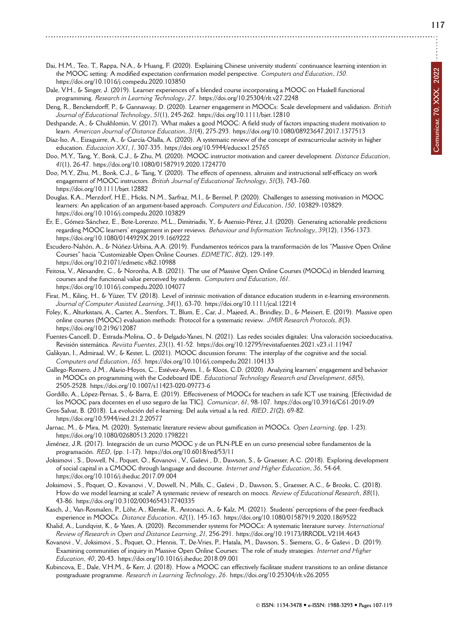Comunicar, 70, XXX, 2022 **Comunicar, 70, XXX, 2022**

- Dai, H.M., Teo, T., Rappa, N.A., & Huang, F. (2020). Explaining Chinese university students' continuance learning intention in the MOOC setting: A modified expectation confirmation model perspective. *Computers and Education*, *150*. <https://doi.org/10.1016/j.compedu.2020.103850>
- Dale, V.H., & Singer, J. (2019). Learner experiences of a blended course incorporating a MOOC on Haskell functional programming. *Research in Learning Technology*, *27*.<https://doi.org/10.25304/rlt.v27.2248>
- Deng, R., Benckendorff, P., & Gannaway, D. (2020). Learner engagement in MOOCs: Scale development and validation. *British Journal of Educational Technology*, *51*(1), 245-262.<https://doi.org/10.1111/bjet.12810>
- Deshpande, A., & Chukhlomin, V. (2017). What makes a good MOOC: A field study of factors impacting student motivation to learn. *American Journal of Distance Education*, *31*(4), 275-293.<https://doi.org/10.1080/08923647.2017.1377513>
- Díaz-Iso, A., Eizaguirre, A., & García-Olalla, A. (2020). A systematic review of the concept of extracurricular activity in higher education. *Educacion XX1*, *1*, 307-335.<https://doi.org/10.5944/educxx1.25765>
- Doo, M.Y., Tang, Y., Bonk, C.J., & Zhu, M. (2020). MOOC instructor motivation and career development. *Distance Education*, *41*(1), 26-47.<https://doi.org/10.1080/01587919.2020.1724770>
- Doo, M.Y., Zhu, M., Bonk, C.J., & Tang, Y. (2020). The effects of openness, altruism and instructional self-efficacy on work engagement of MOOC instructors. *British Journal of Educational Technology*, *51*(3), 743-760. <https://doi.org/10.1111/bjet.12882>
- Douglas, K.A., Merzdorf, H.E., Hicks, N.M., Sarfraz, M.I., & Bermel, P. (2020). Challenges to assessing motivation in MOOC learners: An application of an argument-based approach. *Computers and Education*, *150*, 103829-103829. <https://doi.org/10.1016/j.compedu.2020.103829>
- Er, E., Gómez-Sánchez, E., Bote-Lorenzo, M.L., Dimitriadis, Y., & Asensio-Pérez, J.I. (2020). Generating actionable predictions regarding MOOC learners' engagement in peer reviews. *Behaviour and Information Technology*, *39*(12), 1356-1373. <https://doi.org/10.1080/0144929X.2019.1669222>
- Escudero-Nahón, A., & Núñez-Urbina, A.A. (2019). Fundamentos teóricos para la transformación de los "Massive Open Online Courses" hacia "Customizable Open Online Courses. *EDMETIC*, *8*(2), 129-149. <https://doi.org/10.21071/edmetic.v8i2.10988>
- Feitosa, V., Alexandre, C., & Noronha, A.B. (2021). The use of Massive Open Online Courses (MOOCs) in blended learning courses and the functional value perceived by students. *Computers and Education*, *161*. <https://doi.org/10.1016/j.compedu.2020.104077>
- Firat, M., Kilinç, H., & Yüzer, T.V. (2018). Level of intrinsic motivation of distance education students in e-learning environments. *Journal of Computer Assisted Learning*, *34*(1), 63-70.<https://doi.org/10.1111/jcal.12214>
- Foley, K., Alturkistani, A., Carter, A., Stenfors, T., Blum, E., Car, J., Majeed, A., Brindley, D., & Meinert, E. (2019). Massive open online courses (MOOC) evaluation methods: Protocol for a systematic review. *JMIR Research Protocols*, *8*(3). <https://doi.org/10.2196/12087>
- Fuentes-Cancell, D., Estrada-Molina, O., & Delgado-Yanes, N. (2021). Las redes sociales digitales: Una valoración socioeducativa. Revisión sistemática. *Revista Fuentes*, *23*(1), 41-52.<https://doi.org/10.12795/revistafuentes.2021.v23.i1.11947>
- Galikyan, I., Admiraal, W., & Kester, L. (2021). MOOC discussion forums: The interplay of the cognitive and the social. *Computers and Education*, *165*.<https://doi.org/10.1016/j.compedu.2021.104133>
- Gallego-Romero, J.M., Alario-Hoyos, C., Estévez-Ayres, I., & Kloos, C.D. (2020). Analyzing learners' engagement and behavior in MOOCs on programming with the Codeboard IDE. *Educational Technology Research and Development*, *68*(5), 2505-2528.<https://doi.org/10.1007/s11423-020-09773-6>
- Gordillo, A., López-Pernas, S., & Barra, E. (2019). Effectiveness of MOOCs for teachers in safe ICT use training. [Efectividad de los MOOC para docentes en el uso seguro de las TIC]. *Comunicar*, *61*, 98-107.<https://doi.org/10.3916/C61-2019-09>
- Gros-Salvat, B. (2018). La evolución del e-learning: Del aula virtual a la red. *RIED*, *21*(2), 69-82. <https://doi.org/10.5944/ried.21.2.20577>
- Jarnac, M., & Mira, M. (2020). Systematic literature review about gamification in MOOCs. *Open Learning*, (pp. 1-23). <https://doi.org/10.1080/02680513.2020.1798221>
- Jiménez, J.R. (2017). Integración de un curso MOOC y de un PLN-PLE en un curso presencial sobre fundamentos de la programación. *RED*, (pp. 1-17).<https://doi.org/10.6018/red/53/11>
- Joksimovi, S., Dowell, N., Poquet, O., Kovanovi, V., Gaševi, D., Dawson, S., & Graesser, A.C. (2018). Exploring development of social capital in a CMOOC through language and discourse. *Internet and Higher Education*, *36*, 54-64. <https://doi.org/10.1016/j.iheduc.2017.09.004>
- Joksimovi, S., Poquet, O., Kovanovi, V., Dowell, N., Mills, C., Gaševi, D., Dawson, S., Graesser, A.C., & Brooks, C. (2018). How do we model learning at scale? A systematic review of research on moocs. *Review of Educational Research*, *88*(1), 43-86.<https://doi.org/10.3102/0034654317740335>
- Kasch, J., Van-Rosmalen, P., Löhr, A., Klemke, R., Antonaci, A., & Kalz, M. (2021). Students' perceptions of the peer-feedback experience in MOOCs. *Distance Education*, *42*(1), 145-163.<https://doi.org/10.1080/01587919.2020.1869522>
- Khalid, A., Lundqvist, K., & Yates, A. (2020). Recommender systems for MOOCs: A systematic literature survey. *International Review of Research in Open and Distance Learning*, *21*, 256-291.<https://doi.org/10.19173/IRRODL.V21I4.4643>
- Kovanovi, V., Joksimovi, S., Poquet, O., Hennis, T., De-Vries, P., Hatala, M., Dawson, S., Siemens, G., & Gaševi, D. (2019). Examining communities of inquiry in Massive Open Online Courses: The role of study strategies. *Internet and Higher Education*, *40*, 20-43.<https://doi.org/10.1016/j.iheduc.2018.09.001>
- Kubincova, E., Dale, V.H.M., & Kerr, J. (2018). How a MOOC can effectively facilitate student transitions to an online distance postgraduate programme. *Research in Learning Technology*, *26*.<https://doi.org/10.25304/rlt.v26.2055>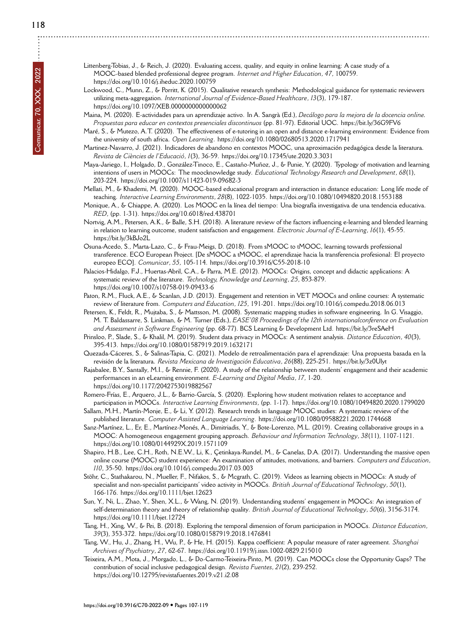- Littenberg-Tobias, J., & Reich, J. (2020). Evaluating access, quality, and equity in online learning: A case study of a MOOC-based blended professional degree program. *Internet and Higher Education*, *47*, 100759. <https://doi.org/10.1016/j.iheduc.2020.100759>
- Lockwood, C., Munn, Z., & Porritt, K. (2015). Qualitative research synthesis: Methodological guidance for systematic reviewers utilizing meta-aggregation. *International Journal of Evidence-Based Healthcare*, *13*(3), 179-187. <https://doi.org/10.1097/XEB.0000000000000062>
- Maina, M. (2020). E-actividades para un aprendizaje activo. In A. Sangrà (Ed.), *Decálogo para la mejora de la docencia online. Propuestas para educar en contextos presenciales discontinuos* (pp. 81-97). Editorial UOC.<https://bit.ly/36G9FV6>
- Maré, S., & Mutezo, A.T. (2020). The effectiveness of e-tutoring in an open and distance e-learning environment: Evidence from the university of south africa. *Open Learning*.<https://doi.org/10.1080/02680513.2020.1717941>
- Martinez-Navarro, J. (2021). Indicadores de abandono en contextos MOOC, una aproximación pedagógica desde la literatura. *Revista de Ciències de l'Educació*, *1*(3), 36-59.<https://doi.org/10.17345/ute.2020.3.3031>
- Maya-Jariego, I., Holgado, D., González-Tinoco, E., Castaño-Muñoz, J., & Punie, Y. (2020). Typology of motivation and learning intentions of users in MOOCs: The moocknowledge study. *Educational Technology Research and Development*, *68*(1), 203-224.<https://doi.org/10.1007/s11423-019-09682-3>
- Mellati, M., & Khademi, M. (2020). MOOC-based educational program and interaction in distance education: Long life mode of teaching. *Interactive Learning Environments*, *28*(8), 1022-1035.<https://doi.org/10.1080/10494820.2018.1553188>
- Monique, A., & Chiappe, A. (2020). Los MOOC en la línea del tiempo: Una biografía investigativa de una tendencia educativa. *RED*, (pp. 1-31).<https://doi.org/10.6018/red.438701>
- Nortvig, A.M., Petersen, A.K., & Balle, S.H. (2018). A literature review of the factors influencing e-learning and blended learning in relation to learning outcome, student satisfaction and engagement. *Electronic Journal of E-Learning*, *16*(1), 45-55. <https://bit.ly/3kBJo2L>
- Osuna-Acedo, S., Marta-Lazo, C., & Frau-Meigs, D. (2018). From sMOOC to tMOOC, learning towards professional transference. ECO European Project. [De sMOOC a tMOOC, el aprendizaje hacia la transferencia profesional: El proyecto europeo ECO]. *Comunicar*, *55*, 105-114.<https://doi.org/10.3916/C55-2018-10>
- Palacios-Hidalgo, F.J., Huertas-Abril, C.A., & Parra, M.E. (2012). MOOCs: Origins, concept and didactic applications: A systematic review of the literature. *Technology, Knowledge and Learning*, *25*, 853-879. <https://doi.org/10.1007/s10758-019-09433-6>
- Paton, R.M., Fluck, A.E., & Scanlan, J.D. (2013). Engagement and retention in VET MOOCs and online courses: A systematic review of literature from. *Computers and Education*, *125*, 191-201.<https://doi.org/10.1016/j.compedu.2018.06.013>
- Petersen, K., Feldt, R., Mujtaba, S., & Mattsson, M. (2008). Systematic mapping studies in software engineering. In G. Visaggio, M. T. Baldassarre, S. Linkman, & M. Turner (Eds.), *EASE'08 Proceedings of the 12th internationalconference on Evaluation and Assessment in Software Engineering* (pp. 68-77). BCS Learning & Development Ltd.<https://bit.ly/3reSAeH>
- Prinsloo, P., Slade, S., & Khalil, M. (2019). Student data privacy in MOOCs: A sentiment analysis. *Distance Education*, *40*(3), 395-413.<https://doi.org/10.1080/01587919.2019.1632171>
- Quezada-Cáceres, S., & Salinas-Tapia, C. (2021). Modelo de retroalimentación para el aprendizaje: Una propuesta basada en la revisión de la literatura. *Revista Mexicana de Investigación Educativa*, *26*(88), 225-251.<https://bit.ly/3z0Ulyt>
- Rajabalee, B.Y., Santally, M.I., & Rennie, F. (2020). A study of the relationship between students' engagement and their academic performances in an eLearning environment. *E-Learning and Digital Media*, *17*, 1-20. <https://doi.org/10.1177/2042753019882567>
- Romero-Frías, E., Arquero, J.L., & Barrio-García, S. (2020). Exploring how student motivation relates to acceptance and participation in MOOCs. *Interactive Learning Environments*, (pp. 1-17).<https://doi.org/10.1080/10494820.2020.1799020>
- Sallam, M.H., Martín-Monje, E., & Li, Y. (2012). Research trends in language MOOC studies: A systematic review of the published literature. *Computer Assisted Language Learning*.<https://doi.org/10.1080/09588221.2020.1744668>
- Sanz-Martínez, L., Er, E., Martínez-Monés, A., Dimitriadis, Y., & Bote-Lorenzo, M.L. (2019). Creating collaborative groups in a MOOC: A homogeneous engagement grouping approach. *Behaviour and Information Technology*, *38*(11), 1107-1121. <https://doi.org/10.1080/0144929X.2019.1571109>
- Shapiro, H.B., Lee, C.H., Roth, N.E.W., Li, K., Çetinkaya-Rundel, M., & Canelas, D.A. (2017). Understanding the massive open online course (MOOC) student experience: An examination of attitudes, motivations, and barriers. *Computers and Education*, *110*, 35-50.<https://doi.org/10.1016/j.compedu.2017.03.003>
- Stöhr, C., Stathakarou, N., Mueller, F., Nifakos, S., & Mcgrath, C. (2019). Videos as learning objects in MOOCs: A study of specialist and non-specialist participants' video activity in MOOCs. *British Journal of Educational Technology*, *50*(1), 166-176.<https://doi.org/10.1111/bjet.12623>
- Sun, Y., Ni, L., Zhao, Y., Shen, X.L., & Wang, N. (2019). Understanding students' engagement in MOOCs: An integration of self-determination theory and theory of relationship quality. *British Journal of Educational Technology*, *50*(6), 3156-3174. <https://doi.org/10.1111/bjet.12724>
- Tang, H., Xing, W., & Pei, B. (2018). Exploring the temporal dimension of forum participation in MOOCs. *Distance Education*, *39*(3), 353-372.<https://doi.org/10.1080/01587919.2018.1476841>
- Tang, W., Hu, J., Zhang, H., Wu, P., & He, H. (2015). Kappa coefficient: A popular measure of rater agreement. *Shanghai Archives of Psychiatry*, *27*, 62-67.<https://doi.org/10.11919/j.issn.1002-0829.215010>
- Teixeira, A.M., Mota, J., Morgado, L., & Do-Carmo-Teixeira-Pinto, M. (2019). Can MOOCs close the Opportunity Gaps? The contribution of social inclusive pedagogical design. *Revista Fuentes*, *21*(2), 239-252. <https://doi.org/10.12795/revistafuentes.2019.v21.i2.08>

**<https://doi.org/10.3916/C70-2022-09>** *•* **Pages 107-119**